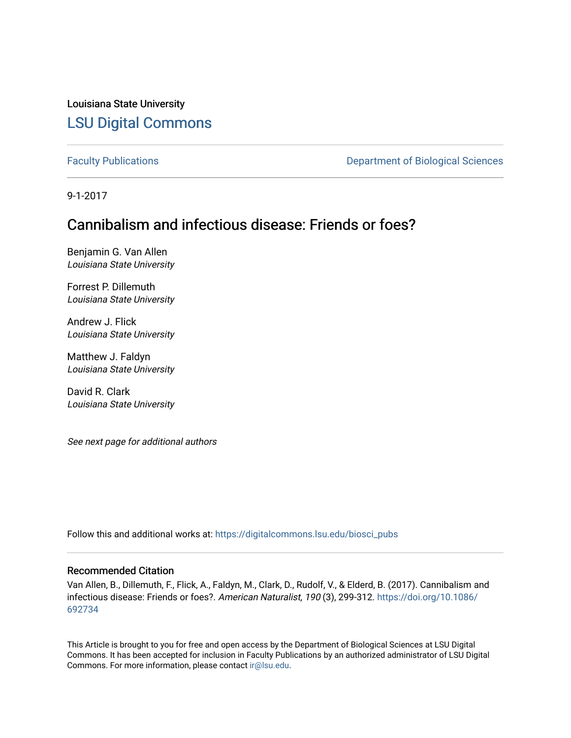Louisiana State University [LSU Digital Commons](https://digitalcommons.lsu.edu/)

[Faculty Publications](https://digitalcommons.lsu.edu/biosci_pubs) **Exercise 2 and Table 2 and Table 2 and Table 2 and Table 2 and Table 2 and Table 2 and Table 2 and Table 2 and Table 2 and Table 2 and Table 2 and Table 2 and Table 2 and Table 2 and Table 2 and Table** 

9-1-2017

# Cannibalism and infectious disease: Friends or foes?

Benjamin G. Van Allen Louisiana State University

Forrest P. Dillemuth Louisiana State University

Andrew J. Flick Louisiana State University

Matthew J. Faldyn Louisiana State University

David R. Clark Louisiana State University

See next page for additional authors

Follow this and additional works at: [https://digitalcommons.lsu.edu/biosci\\_pubs](https://digitalcommons.lsu.edu/biosci_pubs?utm_source=digitalcommons.lsu.edu%2Fbiosci_pubs%2F1201&utm_medium=PDF&utm_campaign=PDFCoverPages)

# Recommended Citation

Van Allen, B., Dillemuth, F., Flick, A., Faldyn, M., Clark, D., Rudolf, V., & Elderd, B. (2017). Cannibalism and infectious disease: Friends or foes?. American Naturalist, 190 (3), 299-312. [https://doi.org/10.1086/](https://doi.org/10.1086/692734) [692734](https://doi.org/10.1086/692734) 

This Article is brought to you for free and open access by the Department of Biological Sciences at LSU Digital Commons. It has been accepted for inclusion in Faculty Publications by an authorized administrator of LSU Digital Commons. For more information, please contact [ir@lsu.edu](mailto:ir@lsu.edu).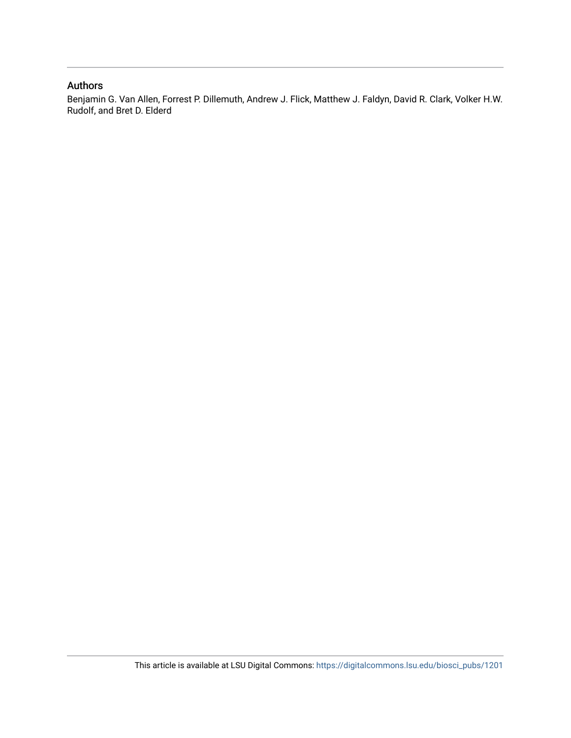# Authors

Benjamin G. Van Allen, Forrest P. Dillemuth, Andrew J. Flick, Matthew J. Faldyn, David R. Clark, Volker H.W. Rudolf, and Bret D. Elderd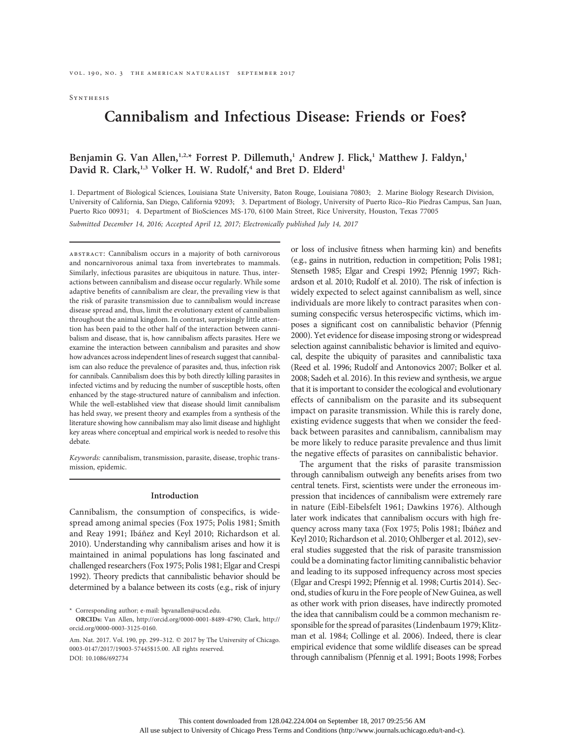**SYNTHESIS** 

# Cannibalism and Infectious Disease: Friends or Foes?

# Benjamin G. Van Allen,<sup>1,2,\*</sup> Forrest P. Dillemuth,<sup>1</sup> Andrew J. Flick,<sup>1</sup> Matthew J. Faldyn,<sup>1</sup> David R. Clark,<sup>1,3</sup> Volker H. W. Rudolf,<sup>4</sup> and Bret D. Elderd<sup>1</sup>

1. Department of Biological Sciences, Louisiana State University, Baton Rouge, Louisiana 70803; 2. Marine Biology Research Division, University of California, San Diego, California 92093; 3. Department of Biology, University of Puerto Rico–Rio Piedras Campus, San Juan, Puerto Rico 00931; 4. Department of BioSciences MS-170, 6100 Main Street, Rice University, Houston, Texas 77005

Submitted December 14, 2016; Accepted April 12, 2017; Electronically published July 14, 2017

abstract: Cannibalism occurs in a majority of both carnivorous and noncarnivorous animal taxa from invertebrates to mammals. Similarly, infectious parasites are ubiquitous in nature. Thus, interactions between cannibalism and disease occur regularly. While some adaptive benefits of cannibalism are clear, the prevailing view is that the risk of parasite transmission due to cannibalism would increase disease spread and, thus, limit the evolutionary extent of cannibalism throughout the animal kingdom. In contrast, surprisingly little attention has been paid to the other half of the interaction between cannibalism and disease, that is, how cannibalism affects parasites. Here we examine the interaction between cannibalism and parasites and show how advances across independent lines of research suggest that cannibalism can also reduce the prevalence of parasites and, thus, infection risk for cannibals. Cannibalism does this by both directly killing parasites in infected victims and by reducing the number of susceptible hosts, often enhanced by the stage-structured nature of cannibalism and infection. While the well-established view that disease should limit cannibalism has held sway, we present theory and examples from a synthesis of the literature showing how cannibalism may also limit disease and highlight key areas where conceptual and empirical work is needed to resolve this debate.

Keywords: cannibalism, transmission, parasite, disease, trophic transmission, epidemic.

## Introduction

Cannibalism, the consumption of conspecifics, is widespread among animal species (Fox 1975; Polis 1981; Smith and Reay 1991; Ibáñez and Keyl 2010; Richardson et al. 2010). Understanding why cannibalism arises and how it is maintained in animal populations has long fascinated and challenged researchers (Fox 1975; Polis 1981; Elgar and Crespi 1992). Theory predicts that cannibalistic behavior should be determined by a balance between its costs (e.g., risk of injury

\* Corresponding author; e-mail: bgvanallen@ucsd.edu.

or loss of inclusive fitness when harming kin) and benefits (e.g., gains in nutrition, reduction in competition; Polis 1981; Stenseth 1985; Elgar and Crespi 1992; Pfennig 1997; Richardson et al. 2010; Rudolf et al. 2010). The risk of infection is widely expected to select against cannibalism as well, since individuals are more likely to contract parasites when consuming conspecific versus heterospecific victims, which imposes a significant cost on cannibalistic behavior (Pfennig 2000). Yet evidence for disease imposing strong or widespread selection against cannibalistic behavior is limited and equivocal, despite the ubiquity of parasites and cannibalistic taxa (Reed et al. 1996; Rudolf and Antonovics 2007; Bolker et al. 2008; Sadeh et al. 2016). In this review and synthesis, we argue that it is important to consider the ecological and evolutionary effects of cannibalism on the parasite and its subsequent impact on parasite transmission. While this is rarely done, existing evidence suggests that when we consider the feedback between parasites and cannibalism, cannibalism may be more likely to reduce parasite prevalence and thus limit the negative effects of parasites on cannibalistic behavior.

The argument that the risks of parasite transmission through cannibalism outweigh any benefits arises from two central tenets. First, scientists were under the erroneous impression that incidences of cannibalism were extremely rare in nature (Eibl-Eibelsfelt 1961; Dawkins 1976). Although later work indicates that cannibalism occurs with high frequency across many taxa (Fox 1975; Polis 1981; Ibáñez and Keyl 2010; Richardson et al. 2010; Ohlberger et al. 2012), several studies suggested that the risk of parasite transmission could be a dominating factor limiting cannibalistic behavior and leading to its supposed infrequency across most species (Elgar and Crespi 1992; Pfennig et al. 1998; Curtis 2014). Second, studies of kuru in the Fore people of New Guinea, as well as other work with prion diseases, have indirectly promoted the idea that cannibalism could be a common mechanism responsible for the spread of parasites (Lindenbaum 1979; Klitzman et al. 1984; Collinge et al. 2006). Indeed, there is clear empirical evidence that some wildlife diseases can be spread through cannibalism (Pfennig et al. 1991; Boots 1998; Forbes

ORCIDs: Van Allen, http://orcid.org/0000-0001-8489-4790; Clark, http:// orcid.org/0000-0003-3125-0160.

Am. Nat. 2017. Vol. 190, pp. 299-312. © 2017 by The University of Chicago. 0003-0147/2017/19003-57445\$15.00. All rights reserved. DOI: 10.1086/692734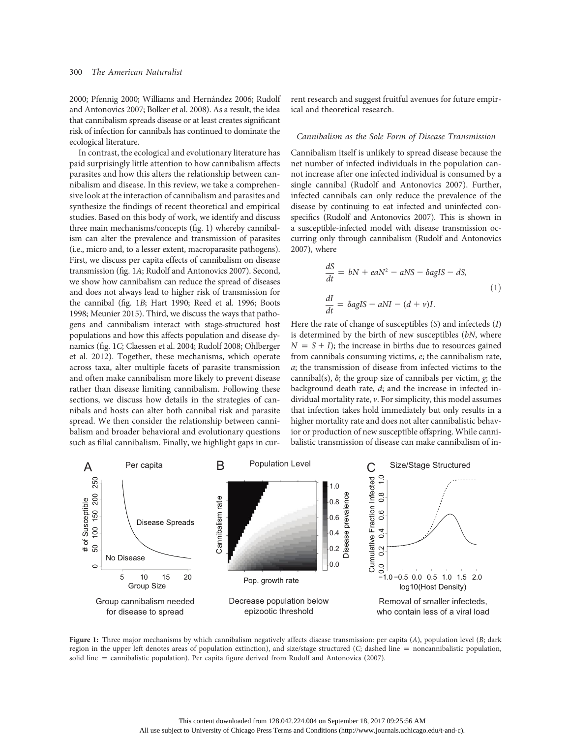2000; Pfennig 2000; Williams and Hernández 2006; Rudolf and Antonovics 2007; Bolker et al. 2008). As a result, the idea that cannibalism spreads disease or at least creates significant risk of infection for cannibals has continued to dominate the ecological literature.

In contrast, the ecological and evolutionary literature has paid surprisingly little attention to how cannibalism affects parasites and how this alters the relationship between cannibalism and disease. In this review, we take a comprehensive look at the interaction of cannibalism and parasites and synthesize the findings of recent theoretical and empirical studies. Based on this body of work, we identify and discuss three main mechanisms/concepts (fig. 1) whereby cannibalism can alter the prevalence and transmission of parasites (i.e., micro and, to a lesser extent, macroparasite pathogens). First, we discuss per capita effects of cannibalism on disease transmission (fig. 1A; Rudolf and Antonovics 2007). Second, we show how cannibalism can reduce the spread of diseases and does not always lead to higher risk of transmission for the cannibal (fig. 1B; Hart 1990; Reed et al. 1996; Boots 1998; Meunier 2015). Third, we discuss the ways that pathogens and cannibalism interact with stage-structured host populations and how this affects population and disease dynamics (fig. 1C; Claessen et al. 2004; Rudolf 2008; Ohlberger et al. 2012). Together, these mechanisms, which operate across taxa, alter multiple facets of parasite transmission and often make cannibalism more likely to prevent disease rather than disease limiting cannibalism. Following these sections, we discuss how details in the strategies of cannibals and hosts can alter both cannibal risk and parasite spread. We then consider the relationship between cannibalism and broader behavioral and evolutionary questions such as filial cannibalism. Finally, we highlight gaps in current research and suggest fruitful avenues for future empirical and theoretical research.

#### Cannibalism as the Sole Form of Disease Transmission

Cannibalism itself is unlikely to spread disease because the net number of infected individuals in the population cannot increase after one infected individual is consumed by a single cannibal (Rudolf and Antonovics 2007). Further, infected cannibals can only reduce the prevalence of the disease by continuing to eat infected and uninfected conspecifics (Rudolf and Antonovics 2007). This is shown in a susceptible-infected model with disease transmission occurring only through cannibalism (Rudolf and Antonovics 2007), where

$$
\frac{dS}{dt} = bN + eaN^2 - aNS - \delta agIS - dS,
$$
  
(1)  

$$
\frac{dI}{dt} = \delta agIS - aNI - (d + v)I.
$$

Here the rate of change of susceptibles (S) and infecteds (I) is determined by the birth of new susceptibles (bN, where  $N = S + I$ ); the increase in births due to resources gained from cannibals consuming victims, e; the cannibalism rate, a; the transmission of disease from infected victims to the cannibal(s),  $\delta$ ; the group size of cannibals per victim,  $g$ ; the background death rate, d; and the increase in infected individual mortality rate, v. For simplicity, this model assumes that infection takes hold immediately but only results in a higher mortality rate and does not alter cannibalistic behavior or production of new susceptible offspring. While cannibalistic transmission of disease can make cannibalism of in-



Figure 1: Three major mechanisms by which cannibalism negatively affects disease transmission: per capita  $(A)$ , population level  $(B; \text{dark})$ region in the upper left denotes areas of population extinction), and size/stage structured  $(C;$  dashed line = noncannibalistic population, solid line = cannibalistic population). Per capita figure derived from Rudolf and Antonovics (2007).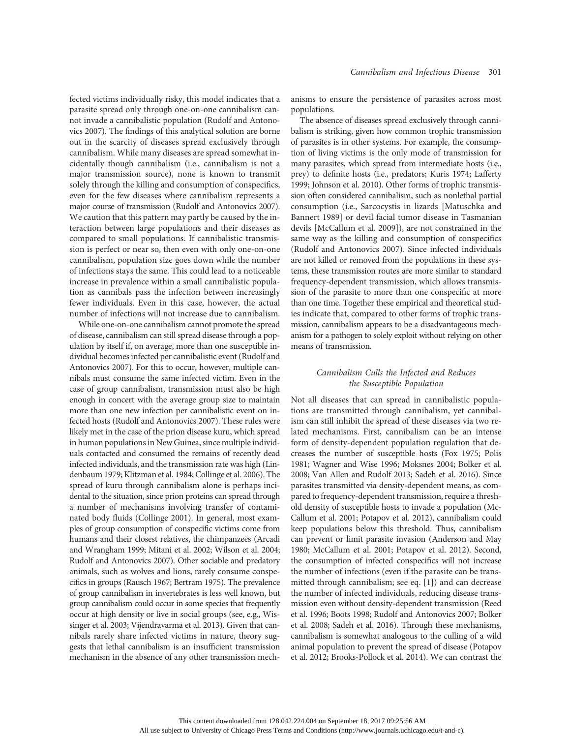fected victims individually risky, this model indicates that a parasite spread only through one-on-one cannibalism cannot invade a cannibalistic population (Rudolf and Antonovics 2007). The findings of this analytical solution are borne out in the scarcity of diseases spread exclusively through cannibalism. While many diseases are spread somewhat incidentally though cannibalism (i.e., cannibalism is not a major transmission source), none is known to transmit solely through the killing and consumption of conspecifics, even for the few diseases where cannibalism represents a major course of transmission (Rudolf and Antonovics 2007). We caution that this pattern may partly be caused by the interaction between large populations and their diseases as compared to small populations. If cannibalistic transmission is perfect or near so, then even with only one-on-one cannibalism, population size goes down while the number of infections stays the same. This could lead to a noticeable increase in prevalence within a small cannibalistic population as cannibals pass the infection between increasingly fewer individuals. Even in this case, however, the actual number of infections will not increase due to cannibalism.

While one-on-one cannibalism cannot promote the spread of disease, cannibalism can still spread disease through a population by itself if, on average, more than one susceptible individual becomes infected per cannibalistic event (Rudolf and Antonovics 2007). For this to occur, however, multiple cannibals must consume the same infected victim. Even in the case of group cannibalism, transmission must also be high enough in concert with the average group size to maintain more than one new infection per cannibalistic event on infected hosts (Rudolf and Antonovics 2007). These rules were likely met in the case of the prion disease kuru, which spread in human populations in New Guinea, since multiple individuals contacted and consumed the remains of recently dead infected individuals, and the transmission rate was high (Lindenbaum 1979; Klitzman et al. 1984; Collinge et al. 2006). The spread of kuru through cannibalism alone is perhaps incidental to the situation, since prion proteins can spread through a number of mechanisms involving transfer of contaminated body fluids (Collinge 2001). In general, most examples of group consumption of conspecific victims come from humans and their closest relatives, the chimpanzees (Arcadi and Wrangham 1999; Mitani et al. 2002; Wilson et al. 2004; Rudolf and Antonovics 2007). Other sociable and predatory animals, such as wolves and lions, rarely consume conspecifics in groups (Rausch 1967; Bertram 1975). The prevalence of group cannibalism in invertebrates is less well known, but group cannibalism could occur in some species that frequently occur at high density or live in social groups (see, e.g., Wissinger et al. 2003; Vijendravarma et al. 2013). Given that cannibals rarely share infected victims in nature, theory suggests that lethal cannibalism is an insufficient transmission mechanism in the absence of any other transmission mechanisms to ensure the persistence of parasites across most populations.

The absence of diseases spread exclusively through cannibalism is striking, given how common trophic transmission of parasites is in other systems. For example, the consumption of living victims is the only mode of transmission for many parasites, which spread from intermediate hosts (i.e., prey) to definite hosts (i.e., predators; Kuris 1974; Lafferty 1999; Johnson et al. 2010). Other forms of trophic transmission often considered cannibalism, such as nonlethal partial consumption (i.e., Sarcocystis in lizards [Matuschka and Bannert 1989] or devil facial tumor disease in Tasmanian devils [McCallum et al. 2009]), are not constrained in the same way as the killing and consumption of conspecifics (Rudolf and Antonovics 2007). Since infected individuals are not killed or removed from the populations in these systems, these transmission routes are more similar to standard frequency-dependent transmission, which allows transmission of the parasite to more than one conspecific at more than one time. Together these empirical and theoretical studies indicate that, compared to other forms of trophic transmission, cannibalism appears to be a disadvantageous mechanism for a pathogen to solely exploit without relying on other means of transmission.

# Cannibalism Culls the Infected and Reduces the Susceptible Population

Not all diseases that can spread in cannibalistic populations are transmitted through cannibalism, yet cannibalism can still inhibit the spread of these diseases via two related mechanisms. First, cannibalism can be an intense form of density-dependent population regulation that decreases the number of susceptible hosts (Fox 1975; Polis 1981; Wagner and Wise 1996; Moksnes 2004; Bolker et al. 2008; Van Allen and Rudolf 2013; Sadeh et al. 2016). Since parasites transmitted via density-dependent means, as compared to frequency-dependent transmission, require a threshold density of susceptible hosts to invade a population (Mc-Callum et al. 2001; Potapov et al. 2012), cannibalism could keep populations below this threshold. Thus, cannibalism can prevent or limit parasite invasion (Anderson and May 1980; McCallum et al. 2001; Potapov et al. 2012). Second, the consumption of infected conspecifics will not increase the number of infections (even if the parasite can be transmitted through cannibalism; see eq. [1]) and can decrease the number of infected individuals, reducing disease transmission even without density-dependent transmission (Reed et al. 1996; Boots 1998; Rudolf and Antonovics 2007; Bolker et al. 2008; Sadeh et al. 2016). Through these mechanisms, cannibalism is somewhat analogous to the culling of a wild animal population to prevent the spread of disease (Potapov et al. 2012; Brooks-Pollock et al. 2014). We can contrast the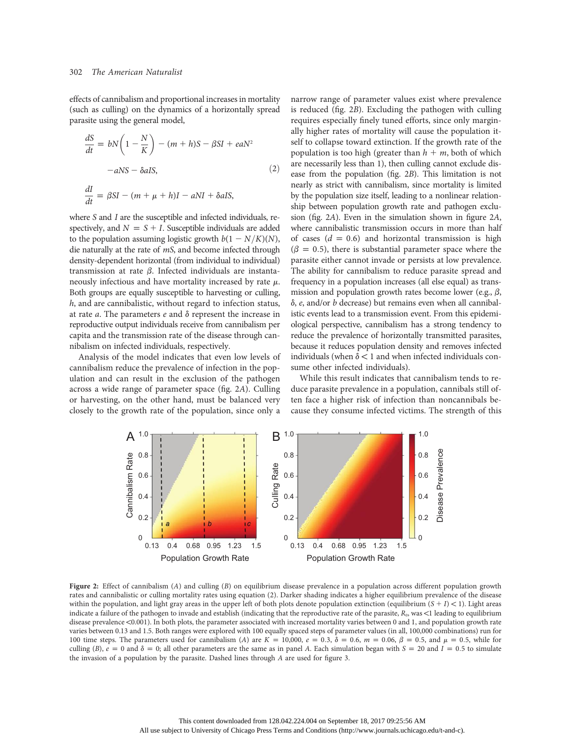effects of cannibalism and proportional increases in mortality (such as culling) on the dynamics of a horizontally spread parasite using the general model,

$$
\frac{dS}{dt} = bN\left(1 - \frac{N}{K}\right) - (m + h)S - \beta SI + eaN^2
$$

$$
-aNS - \delta aIS,
$$

$$
\frac{dI}{dt} = \beta SI - (m + \mu + h)I - aNI + \delta aIS,
$$

$$
(2)
$$

where S and I are the susceptible and infected individuals, respectively, and  $N = S + I$ . Susceptible individuals are added to the population assuming logistic growth  $b(1 - N/K)(N)$ , die naturally at the rate of mS, and become infected through density-dependent horizontal (from individual to individual) transmission at rate  $\beta$ . Infected individuals are instantaneously infectious and have mortality increased by rate  $\mu$ . Both groups are equally susceptible to harvesting or culling, h, and are cannibalistic, without regard to infection status, at rate  $a$ . The parameters  $e$  and  $\delta$  represent the increase in reproductive output individuals receive from cannibalism per capita and the transmission rate of the disease through cannibalism on infected individuals, respectively.

Analysis of the model indicates that even low levels of cannibalism reduce the prevalence of infection in the population and can result in the exclusion of the pathogen across a wide range of parameter space (fig. 2A). Culling or harvesting, on the other hand, must be balanced very closely to the growth rate of the population, since only a narrow range of parameter values exist where prevalence is reduced (fig. 2B). Excluding the pathogen with culling requires especially finely tuned efforts, since only marginally higher rates of mortality will cause the population itself to collapse toward extinction. If the growth rate of the population is too high (greater than  $h + m$ , both of which are necessarily less than 1), then culling cannot exclude disease from the population (fig. 2B). This limitation is not nearly as strict with cannibalism, since mortality is limited by the population size itself, leading to a nonlinear relationship between population growth rate and pathogen exclusion (fig. 2A). Even in the simulation shown in figure 2A, where cannibalistic transmission occurs in more than half of cases  $(d = 0.6)$  and horizontal transmission is high  $(\beta = 0.5)$ , there is substantial parameter space where the parasite either cannot invade or persists at low prevalence. The ability for cannibalism to reduce parasite spread and frequency in a population increases (all else equal) as transmission and population growth rates become lower (e.g.,  $\beta$ ,  $\delta$ , e, and/or b decrease) but remains even when all cannibalistic events lead to a transmission event. From this epidemiological perspective, cannibalism has a strong tendency to reduce the prevalence of horizontally transmitted parasites, because it reduces population density and removes infected individuals (when  $\delta$  < 1 and when infected individuals consume other infected individuals).

While this result indicates that cannibalism tends to reduce parasite prevalence in a population, cannibals still often face a higher risk of infection than noncannibals because they consume infected victims. The strength of this



Figure 2: Effect of cannibalism (A) and culling (B) on equilibrium disease prevalence in a population across different population growth rates and cannibalistic or culling mortality rates using equation (2). Darker shading indicates a higher equilibrium prevalence of the disease within the population, and light gray areas in the upper left of both plots denote population extinction (equilibrium  $(S + I) < 1$ ). Light areas indicate a failure of the pathogen to invade and establish (indicating that the reproductive rate of the parasite,  $R_0$ , was <1 leading to equilibrium disease prevalence <0.001). In both plots, the parameter associated with increased mortality varies between 0 and 1, and population growth rate varies between 0.13 and 1.5. Both ranges were explored with 100 equally spaced steps of parameter values (in all, 100,000 combinations) run for 100 time steps. The parameters used for cannibalism (A) are  $K = 10,000$ ,  $e = 0.3$ ,  $\delta = 0.6$ ,  $m = 0.06$ ,  $\beta = 0.5$ , and  $\mu = 0.5$ , while for culling (B),  $e = 0$  and  $\delta = 0$ ; all other parameters are the same as in panel A. Each simulation began with  $S = 20$  and  $I = 0.5$  to simulate the invasion of a population by the parasite. Dashed lines through A are used for figure 3.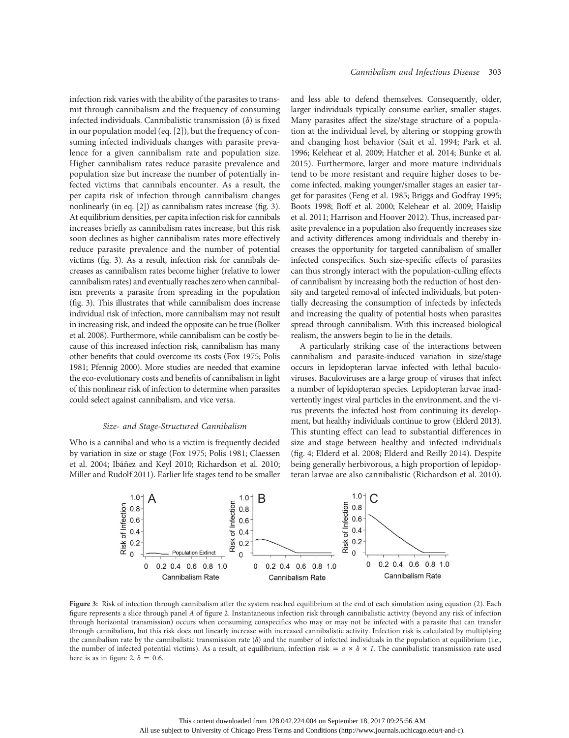infection risk varies with the ability of the parasites to transmit through cannibalism and the frequency of consuming infected individuals. Cannibalistic transmission  $(\delta)$  is fixed in our population model (eq. [2]), but the frequency of consuming infected individuals changes with parasite prevalence for a given cannibalism rate and population size. Higher cannibalism rates reduce parasite prevalence and population size but increase the number of potentially infected victims that cannibals encounter. As a result, the per capita risk of infection through cannibalism changes nonlinearly (in eq. [2]) as cannibalism rates increase (fig. 3). At equilibrium densities, per capita infection risk for cannibals increases briefly as cannibalism rates increase, but this risk soon declines as higher cannibalism rates more effectively reduce parasite prevalence and the number of potential victims (fig. 3). As a result, infection risk for cannibals decreases as cannibalism rates become higher (relative to lower cannibalism rates) and eventually reaches zero when cannibalism prevents a parasite from spreading in the population (fig. 3). This illustrates that while cannibalism does increase individual risk of infection, more cannibalism may not result in increasing risk, and indeed the opposite can be true (Bolker et al. 2008). Furthermore, while cannibalism can be costly because of this increased infection risk, cannibalism has many other benefits that could overcome its costs (Fox 1975; Polis 1981; Pfennig 2000). More studies are needed that examine the eco-evolutionary costs and benefits of cannibalism in light of this nonlinear risk of infection to determine when parasites could select against cannibalism, and vice versa.

#### Size- and Stage-Structured Cannibalism

Who is a cannibal and who is a victim is frequently decided by variation in size or stage (Fox 1975; Polis 1981; Claessen et al. 2004; Ibáñez and Keyl 2010; Richardson et al. 2010; Miller and Rudolf 2011). Earlier life stages tend to be smaller and less able to defend themselves. Consequently, older, larger individuals typically consume earlier, smaller stages. Many parasites affect the size/stage structure of a population at the individual level, by altering or stopping growth and changing host behavior (Sait et al. 1994; Park et al. 1996; Kelehear et al. 2009; Hatcher et al. 2014; Bunke et al. 2015). Furthermore, larger and more mature individuals tend to be more resistant and require higher doses to become infected, making younger/smaller stages an easier target for parasites (Feng et al. 1985; Briggs and Godfray 1995; Boots 1998; Boff et al. 2000; Kelehear et al. 2009; Haislip et al. 2011; Harrison and Hoover 2012). Thus, increased parasite prevalence in a population also frequently increases size and activity differences among individuals and thereby increases the opportunity for targeted cannibalism of smaller infected conspecifics. Such size-specific effects of parasites can thus strongly interact with the population-culling effects of cannibalism by increasing both the reduction of host density and targeted removal of infected individuals, but potentially decreasing the consumption of infecteds by infecteds and increasing the quality of potential hosts when parasites spread through cannibalism. With this increased biological realism, the answers begin to lie in the details.

A particularly striking case of the interactions between cannibalism and parasite-induced variation in size/stage occurs in lepidopteran larvae infected with lethal baculoviruses. Baculoviruses are a large group of viruses that infect a number of lepidopteran species. Lepidopteran larvae inadvertently ingest viral particles in the environment, and the virus prevents the infected host from continuing its development, but healthy individuals continue to grow (Elderd 2013). This stunting effect can lead to substantial differences in size and stage between healthy and infected individuals (fig. 4; Elderd et al. 2008; Elderd and Reilly 2014). Despite being generally herbivorous, a high proportion of lepidopteran larvae are also cannibalistic (Richardson et al. 2010).



Figure 3: Risk of infection through cannibalism after the system reached equilibrium at the end of each simulation using equation (2). Each figure represents a slice through panel A of figure 2. Instantaneous infection risk through cannibalistic activity (beyond any risk of infection through horizontal transmission) occurs when consuming conspecifics who may or may not be infected with a parasite that can transfer through cannibalism, but this risk does not linearly increase with increased cannibalistic activity. Infection risk is calculated by multiplying the cannibalism rate by the cannibalistic transmission rate  $(\delta)$  and the number of infected individuals in the population at equilibrium (i.e., the number of infected potential victims). As a result, at equilibrium, infection risk =  $a \times \delta \times I$ . The cannibalistic transmission rate used here is as in figure 2,  $\delta = 0.6$ .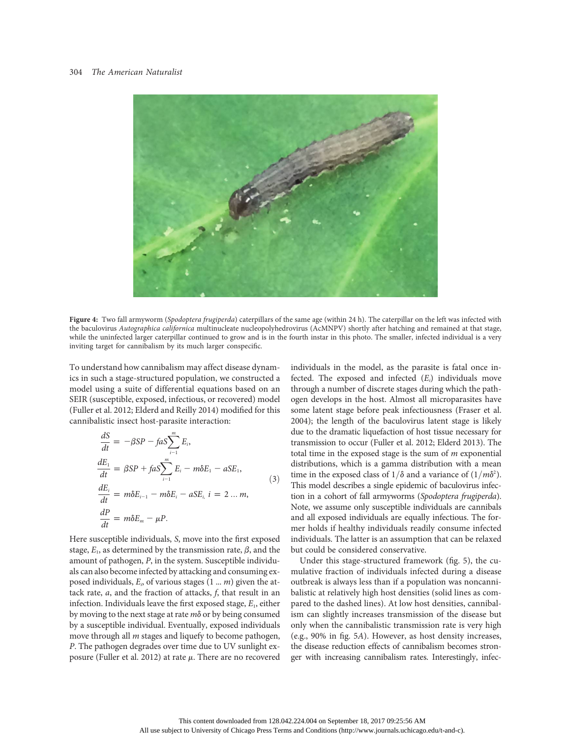

Figure 4: Two fall armyworm (Spodoptera frugiperda) caterpillars of the same age (within 24 h). The caterpillar on the left was infected with the baculovirus Autographica californica multinucleate nucleopolyhedrovirus (AcMNPV) shortly after hatching and remained at that stage, while the uninfected larger caterpillar continued to grow and is in the fourth instar in this photo. The smaller, infected individual is a very inviting target for cannibalism by its much larger conspecific.

To understand how cannibalism may affect disease dynamics in such a stage-structured population, we constructed a model using a suite of differential equations based on an SEIR (susceptible, exposed, infectious, or recovered) model (Fuller et al. 2012; Elderd and Reilly 2014) modified for this cannibalistic insect host-parasite interaction:

$$
\frac{dS}{dt} = -\beta SP - faS \sum_{i=1}^{m} E_i,
$$
\n
$$
\frac{dE_1}{dt} = \beta SP + faS \sum_{i=1}^{m} E_i - m\delta E_1 - aSE_1,
$$
\n
$$
\frac{dE_i}{dt} = m\delta E_{i-1} - m\delta E_i - aSE_i, \quad i = 2 \dots m,
$$
\n
$$
\frac{dP}{dt} = m\delta E_m - \mu P.
$$
\n(3)

Here susceptible individuals, S, move into the first exposed stage,  $E_1$ , as determined by the transmission rate,  $\beta$ , and the amount of pathogen, P, in the system. Susceptible individuals can also become infected by attacking and consuming exposed individuals,  $E_i$ , of various stages  $(1 \dots m)$  given the attack rate,  $a$ , and the fraction of attacks,  $f$ , that result in an infection. Individuals leave the first exposed stage,  $E_1$ , either by moving to the next stage at rate  $m\delta$  or by being consumed by a susceptible individual. Eventually, exposed individuals move through all  $m$  stages and liquefy to become pathogen, P. The pathogen degrades over time due to UV sunlight exposure (Fuller et al. 2012) at rate  $\mu$ . There are no recovered individuals in the model, as the parasite is fatal once infected. The exposed and infected  $(E_i)$  individuals move through a number of discrete stages during which the pathogen develops in the host. Almost all microparasites have some latent stage before peak infectiousness (Fraser et al. 2004); the length of the baculovirus latent stage is likely due to the dramatic liquefaction of host tissue necessary for transmission to occur (Fuller et al. 2012; Elderd 2013). The total time in the exposed stage is the sum of  $m$  exponential distributions, which is a gamma distribution with a mean time in the exposed class of  $1/\delta$  and a variance of  $(1/m\delta^2)$ . This model describes a single epidemic of baculovirus infection in a cohort of fall armyworms (Spodoptera frugiperda). Note, we assume only susceptible individuals are cannibals and all exposed individuals are equally infectious. The former holds if healthy individuals readily consume infected individuals. The latter is an assumption that can be relaxed but could be considered conservative.

Under this stage-structured framework (fig. 5), the cumulative fraction of individuals infected during a disease outbreak is always less than if a population was noncannibalistic at relatively high host densities (solid lines as compared to the dashed lines). At low host densities, cannibalism can slightly increases transmission of the disease but only when the cannibalistic transmission rate is very high (e.g., 90% in fig. 5A). However, as host density increases, the disease reduction effects of cannibalism becomes stronger with increasing cannibalism rates. Interestingly, infec-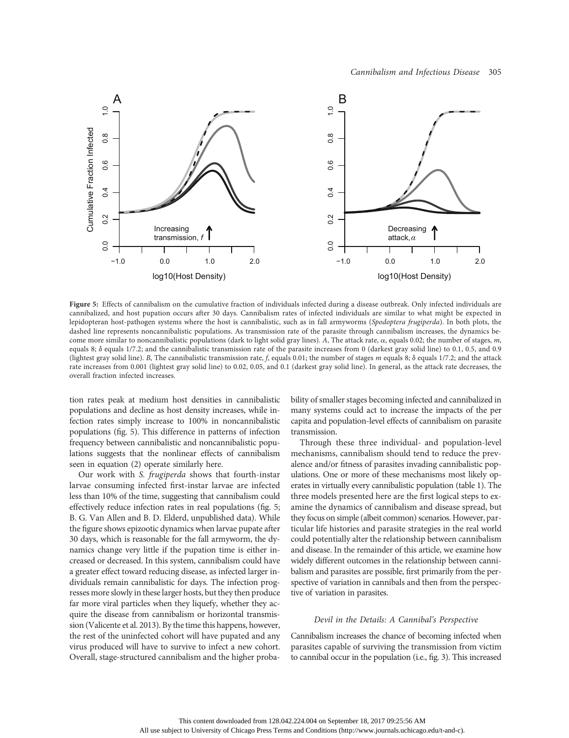

Figure 5: Effects of cannibalism on the cumulative fraction of individuals infected during a disease outbreak. Only infected individuals are cannibalized, and host pupation occurs after 30 days. Cannibalism rates of infected individuals are similar to what might be expected in lepidopteran host-pathogen systems where the host is cannibalistic, such as in fall armyworms (Spodoptera frugiperda). In both plots, the dashed line represents noncannibalistic populations. As transmission rate of the parasite through cannibalism increases, the dynamics become more similar to noncannibalistic populations (dark to light solid gray lines). A, The attack rate,  $\alpha$ , equals 0.02; the number of stages, m, equals 8;  $\delta$  equals 1/7.2; and the cannibalistic transmission rate of the parasite increases from 0 (darkest gray solid line) to 0.1, 0.5, and 0.9 (lightest gray solid line). B, The cannibalistic transmission rate, f, equals 0.01; the number of stages m equals 8;  $\delta$  equals 1/7.2; and the attack rate increases from 0.001 (lightest gray solid line) to 0.02, 0.05, and 0.1 (darkest gray solid line). In general, as the attack rate decreases, the overall fraction infected increases.

tion rates peak at medium host densities in cannibalistic populations and decline as host density increases, while infection rates simply increase to 100% in noncannibalistic populations (fig. 5). This difference in patterns of infection frequency between cannibalistic and noncannibalistic populations suggests that the nonlinear effects of cannibalism seen in equation (2) operate similarly here.

Our work with S. frugiperda shows that fourth-instar larvae consuming infected first-instar larvae are infected less than 10% of the time, suggesting that cannibalism could effectively reduce infection rates in real populations (fig. 5; B. G. Van Allen and B. D. Elderd, unpublished data). While the figure shows epizootic dynamics when larvae pupate after 30 days, which is reasonable for the fall armyworm, the dynamics change very little if the pupation time is either increased or decreased. In this system, cannibalism could have a greater effect toward reducing disease, as infected larger individuals remain cannibalistic for days. The infection progresses more slowly in these larger hosts, but they then produce far more viral particles when they liquefy, whether they acquire the disease from cannibalism or horizontal transmission (Valicente et al. 2013). By the time this happens, however, the rest of the uninfected cohort will have pupated and any virus produced will have to survive to infect a new cohort. Overall, stage-structured cannibalism and the higher probability of smaller stages becoming infected and cannibalized in many systems could act to increase the impacts of the per capita and population-level effects of cannibalism on parasite transmission.

Through these three individual- and population-level mechanisms, cannibalism should tend to reduce the prevalence and/or fitness of parasites invading cannibalistic populations. One or more of these mechanisms most likely operates in virtually every cannibalistic population (table 1). The three models presented here are the first logical steps to examine the dynamics of cannibalism and disease spread, but they focus on simple (albeit common) scenarios. However, particular life histories and parasite strategies in the real world could potentially alter the relationship between cannibalism and disease. In the remainder of this article, we examine how widely different outcomes in the relationship between cannibalism and parasites are possible, first primarily from the perspective of variation in cannibals and then from the perspective of variation in parasites.

## Devil in the Details: A Cannibal's Perspective

Cannibalism increases the chance of becoming infected when parasites capable of surviving the transmission from victim to cannibal occur in the population (i.e., fig. 3). This increased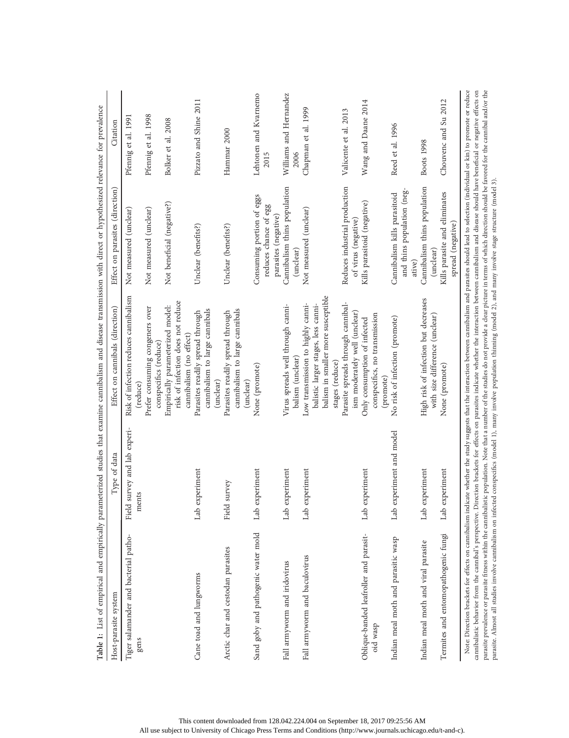| Table 1: List of empirical and empirically parameterized studies that examine cannibalism and disease transmission with direct or hypothesized relevance for prevalence                                                                                                                                                                                                                                                                                                                                                                                                                                                                                                                       |                                       |                                                                                                                                                     |                                                                            |                                |
|-----------------------------------------------------------------------------------------------------------------------------------------------------------------------------------------------------------------------------------------------------------------------------------------------------------------------------------------------------------------------------------------------------------------------------------------------------------------------------------------------------------------------------------------------------------------------------------------------------------------------------------------------------------------------------------------------|---------------------------------------|-----------------------------------------------------------------------------------------------------------------------------------------------------|----------------------------------------------------------------------------|--------------------------------|
| Host-parasite system                                                                                                                                                                                                                                                                                                                                                                                                                                                                                                                                                                                                                                                                          | Type of data                          | Effect on cannibals (direction)                                                                                                                     | Effect on parasites (direction)                                            | Citation                       |
| Tiger salamander and bacterial patho-<br>gens                                                                                                                                                                                                                                                                                                                                                                                                                                                                                                                                                                                                                                                 | Field survey and lab experi-<br>ments | Risk of infection reduces cannibalism<br>(reduce)                                                                                                   | Not measured (unclear)                                                     | Pfennig et al. 1991            |
|                                                                                                                                                                                                                                                                                                                                                                                                                                                                                                                                                                                                                                                                                               |                                       | Prefer consuming congeners over<br>conspecifics (reduce)                                                                                            | Not measured (unclear)                                                     | Pfennig et al. 1998            |
|                                                                                                                                                                                                                                                                                                                                                                                                                                                                                                                                                                                                                                                                                               |                                       | risk of infection does not reduce<br>Empirically parameterized model:<br>cannibalism (no effect)                                                    | Not beneficial (negative?)                                                 | Bolker et al. 2008             |
| Cane toad and lungworms                                                                                                                                                                                                                                                                                                                                                                                                                                                                                                                                                                                                                                                                       | Lab experiment                        | cannibalism to large cannibals<br>Parasites readily spread through<br>(unclear)                                                                     | Unclear (benefits?)                                                        | Pizzato and Shine 2011         |
| Arctic char and cestodan parasites                                                                                                                                                                                                                                                                                                                                                                                                                                                                                                                                                                                                                                                            | Field survey                          | cannibalism to large cannibals<br>Parasites readily spread through<br>(unclear)                                                                     | Unclear (benefits?)                                                        | Hammar 2000                    |
| Sand goby and pathogenic water mold                                                                                                                                                                                                                                                                                                                                                                                                                                                                                                                                                                                                                                                           | Lab experiment                        | None (promote)                                                                                                                                      | Consuming portion of eggs<br>reduces chance of egg<br>parasites (negative) | Lehtonen and Kvarnemo<br>2015  |
| Fall armyworm and iridovirus                                                                                                                                                                                                                                                                                                                                                                                                                                                                                                                                                                                                                                                                  | Lab experiment                        | Virus spreads well through canni-<br>balism (unclear)                                                                                               | Cannibalism thins population<br>(unclear)                                  | Williams and Hernandez<br>2006 |
| Fall armyworm and baculovirus                                                                                                                                                                                                                                                                                                                                                                                                                                                                                                                                                                                                                                                                 | Lab experiment                        | balism in smaller more susceptible<br>Low transmission to highly canni-<br>balistic larger stages, less canni-<br>stages (reduce)                   | Not measured (unclear)                                                     | Chapman et al. 1999            |
|                                                                                                                                                                                                                                                                                                                                                                                                                                                                                                                                                                                                                                                                                               |                                       | Parasite spreads through cannibal-<br>ism moderately well (unclear)                                                                                 | Reduces industrial production<br>of virus (negative)                       | Valicente et al. 2013          |
| Oblique-banded leafroller and parasit-<br>oid wasp                                                                                                                                                                                                                                                                                                                                                                                                                                                                                                                                                                                                                                            | Lab experiment                        | conspecifics, no transmission<br>Only consumption of infected<br>(promote)                                                                          | Kills parasitoid (negative)                                                | Wang and Daane 2014            |
| Indian meal moth and parasitic wasp                                                                                                                                                                                                                                                                                                                                                                                                                                                                                                                                                                                                                                                           | Lab experiment and model              | No risk of infection (promote)                                                                                                                      | and thins population (neg-<br>Cannibalism kills parasitoid<br>ative)       | Reed et al. 1996               |
| Indian meal moth and viral parasite                                                                                                                                                                                                                                                                                                                                                                                                                                                                                                                                                                                                                                                           | Lab experiment                        | High risk of infection but decreases<br>with size difference (unclear)                                                                              | Cannibalism thins population<br>(unclear)                                  | Boots 1998                     |
| Termites and entomopathogenic fungi                                                                                                                                                                                                                                                                                                                                                                                                                                                                                                                                                                                                                                                           | Lab experiment                        | None (promote)                                                                                                                                      | Kills parasite and eliminates<br>spread (negative)                         | Chouvenc and Su 2012           |
| parasite prevalence or parasite fitness within the cannibalistic population. Note that a number of the studies do not provide a clear picture in terms of which direction should be favored for the cannibal and/or the<br>cannibalistic behavior from the cannibal's perspective. Direction brackets for effects on parasites indicate whether the interaction between cannibalism and disease should have beneficial or negative effects on<br>parasite. Almost all studies involve cannibalism on infected conspecifics (model 1), many involve population thinning (model 2), and many involve stage structure (model 3).<br>Note: Direction brackets for effects on cannibalism indicate |                                       | whether the study suggests that the interaction between cannibalism and parasites should lead to selection (individual or kin) to promote or reduce |                                                                            |                                |

This content downloaded from 128.042.224.004 on September 18, 2017 09:25:56 AM All use subject to University of Chicago Press Terms and Conditions (http://www.journals.uchicago.edu/t-and-c).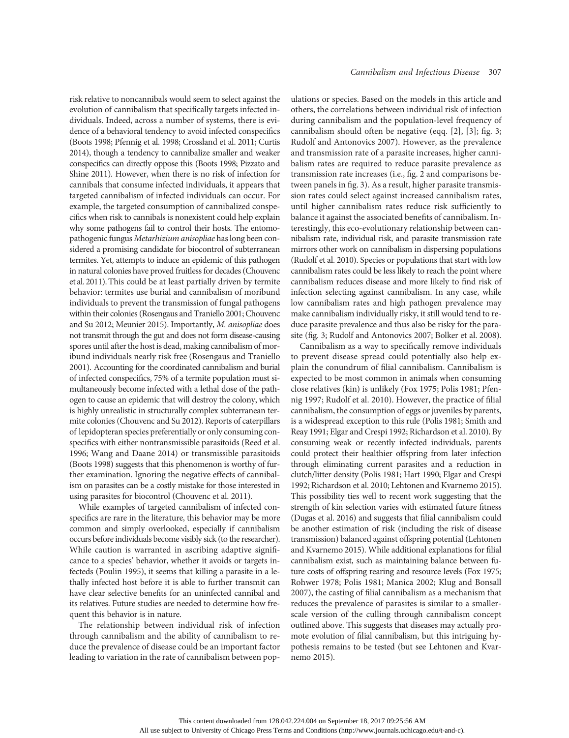risk relative to noncannibals would seem to select against the evolution of cannibalism that specifically targets infected individuals. Indeed, across a number of systems, there is evidence of a behavioral tendency to avoid infected conspecifics (Boots 1998; Pfennig et al. 1998; Crossland et al. 2011; Curtis 2014), though a tendency to cannibalize smaller and weaker conspecifics can directly oppose this (Boots 1998; Pizzato and Shine 2011). However, when there is no risk of infection for cannibals that consume infected individuals, it appears that targeted cannibalism of infected individuals can occur. For example, the targeted consumption of cannibalized conspecifics when risk to cannibals is nonexistent could help explain why some pathogens fail to control their hosts. The entomopathogenic fungus Metarhizium anisopliae has long been considered a promising candidate for biocontrol of subterranean termites. Yet, attempts to induce an epidemic of this pathogen in natural colonies have proved fruitless for decades (Chouvenc et al. 2011). This could be at least partially driven by termite behavior: termites use burial and cannibalism of moribund individuals to prevent the transmission of fungal pathogens within their colonies (Rosengaus and Traniello 2001; Chouvenc and Su 2012; Meunier 2015). Importantly, M. anisopliae does not transmit through the gut and does not form disease-causing spores until after the host is dead, making cannibalism of moribund individuals nearly risk free (Rosengaus and Traniello 2001). Accounting for the coordinated cannibalism and burial of infected conspecifics, 75% of a termite population must simultaneously become infected with a lethal dose of the pathogen to cause an epidemic that will destroy the colony, which is highly unrealistic in structurally complex subterranean termite colonies (Chouvenc and Su 2012). Reports of caterpillars of lepidopteran species preferentially or only consuming conspecifics with either nontransmissible parasitoids (Reed et al. 1996; Wang and Daane 2014) or transmissible parasitoids (Boots 1998) suggests that this phenomenon is worthy of further examination. Ignoring the negative effects of cannibalism on parasites can be a costly mistake for those interested in using parasites for biocontrol (Chouvenc et al. 2011).

While examples of targeted cannibalism of infected conspecifics are rare in the literature, this behavior may be more common and simply overlooked, especially if cannibalism occurs before individuals become visibly sick (to the researcher). While caution is warranted in ascribing adaptive significance to a species' behavior, whether it avoids or targets infecteds (Poulin 1995), it seems that killing a parasite in a lethally infected host before it is able to further transmit can have clear selective benefits for an uninfected cannibal and its relatives. Future studies are needed to determine how frequent this behavior is in nature.

The relationship between individual risk of infection through cannibalism and the ability of cannibalism to reduce the prevalence of disease could be an important factor leading to variation in the rate of cannibalism between populations or species. Based on the models in this article and others, the correlations between individual risk of infection during cannibalism and the population-level frequency of cannibalism should often be negative (eqq. [2], [3]; fig. 3; Rudolf and Antonovics 2007). However, as the prevalence and transmission rate of a parasite increases, higher cannibalism rates are required to reduce parasite prevalence as transmission rate increases (i.e., fig. 2 and comparisons between panels in fig. 3). As a result, higher parasite transmission rates could select against increased cannibalism rates, until higher cannibalism rates reduce risk sufficiently to balance it against the associated benefits of cannibalism. Interestingly, this eco-evolutionary relationship between cannibalism rate, individual risk, and parasite transmission rate mirrors other work on cannibalism in dispersing populations (Rudolf et al. 2010). Species or populations that start with low cannibalism rates could be less likely to reach the point where cannibalism reduces disease and more likely to find risk of infection selecting against cannibalism. In any case, while low cannibalism rates and high pathogen prevalence may make cannibalism individually risky, it still would tend to reduce parasite prevalence and thus also be risky for the parasite (fig. 3; Rudolf and Antonovics 2007; Bolker et al. 2008).

Cannibalism as a way to specifically remove individuals to prevent disease spread could potentially also help explain the conundrum of filial cannibalism. Cannibalism is expected to be most common in animals when consuming close relatives (kin) is unlikely (Fox 1975; Polis 1981; Pfennig 1997; Rudolf et al. 2010). However, the practice of filial cannibalism, the consumption of eggs or juveniles by parents, is a widespread exception to this rule (Polis 1981; Smith and Reay 1991; Elgar and Crespi 1992; Richardson et al. 2010). By consuming weak or recently infected individuals, parents could protect their healthier offspring from later infection through eliminating current parasites and a reduction in clutch/litter density (Polis 1981; Hart 1990; Elgar and Crespi 1992; Richardson et al. 2010; Lehtonen and Kvarnemo 2015). This possibility ties well to recent work suggesting that the strength of kin selection varies with estimated future fitness (Dugas et al. 2016) and suggests that filial cannibalism could be another estimation of risk (including the risk of disease transmission) balanced against offspring potential (Lehtonen and Kvarnemo 2015). While additional explanations for filial cannibalism exist, such as maintaining balance between future costs of offspring rearing and resource levels (Fox 1975; Rohwer 1978; Polis 1981; Manica 2002; Klug and Bonsall 2007), the casting of filial cannibalism as a mechanism that reduces the prevalence of parasites is similar to a smallerscale version of the culling through cannibalism concept outlined above. This suggests that diseases may actually promote evolution of filial cannibalism, but this intriguing hypothesis remains to be tested (but see Lehtonen and Kvarnemo 2015).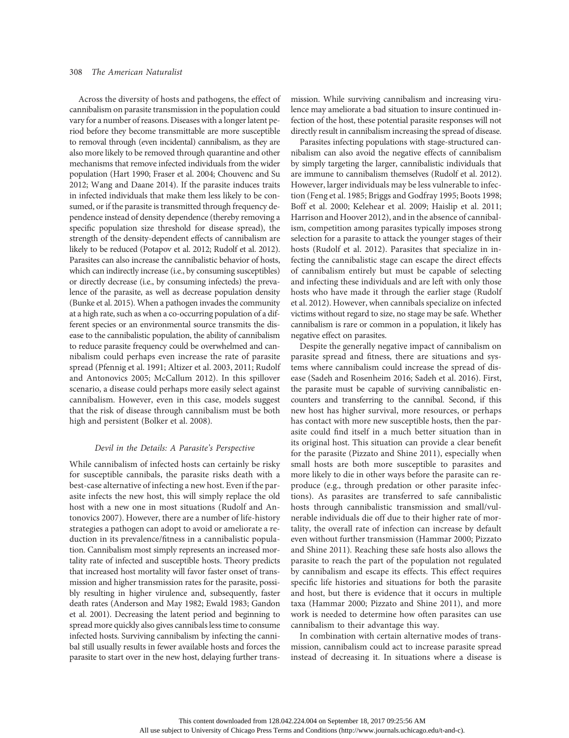Across the diversity of hosts and pathogens, the effect of cannibalism on parasite transmission in the population could vary for a number of reasons. Diseases with a longer latent period before they become transmittable are more susceptible to removal through (even incidental) cannibalism, as they are also more likely to be removed through quarantine and other mechanisms that remove infected individuals from the wider population (Hart 1990; Fraser et al. 2004; Chouvenc and Su 2012; Wang and Daane 2014). If the parasite induces traits in infected individuals that make them less likely to be consumed, or if the parasite is transmitted through frequency dependence instead of density dependence (thereby removing a specific population size threshold for disease spread), the strength of the density-dependent effects of cannibalism are likely to be reduced (Potapov et al. 2012; Rudolf et al. 2012). Parasites can also increase the cannibalistic behavior of hosts, which can indirectly increase (i.e., by consuming susceptibles) or directly decrease (i.e., by consuming infecteds) the prevalence of the parasite, as well as decrease population density (Bunke et al. 2015). When a pathogen invades the community at a high rate, such as when a co-occurring population of a different species or an environmental source transmits the disease to the cannibalistic population, the ability of cannibalism to reduce parasite frequency could be overwhelmed and cannibalism could perhaps even increase the rate of parasite spread (Pfennig et al. 1991; Altizer et al. 2003, 2011; Rudolf and Antonovics 2005; McCallum 2012). In this spillover scenario, a disease could perhaps more easily select against cannibalism. However, even in this case, models suggest that the risk of disease through cannibalism must be both high and persistent (Bolker et al. 2008).

## Devil in the Details: A Parasite's Perspective

While cannibalism of infected hosts can certainly be risky for susceptible cannibals, the parasite risks death with a best-case alternative of infecting a new host. Even if the parasite infects the new host, this will simply replace the old host with a new one in most situations (Rudolf and Antonovics 2007). However, there are a number of life-history strategies a pathogen can adopt to avoid or ameliorate a reduction in its prevalence/fitness in a cannibalistic population. Cannibalism most simply represents an increased mortality rate of infected and susceptible hosts. Theory predicts that increased host mortality will favor faster onset of transmission and higher transmission rates for the parasite, possibly resulting in higher virulence and, subsequently, faster death rates (Anderson and May 1982; Ewald 1983; Gandon et al. 2001). Decreasing the latent period and beginning to spread more quickly also gives cannibals less time to consume infected hosts. Surviving cannibalism by infecting the cannibal still usually results in fewer available hosts and forces the parasite to start over in the new host, delaying further transmission. While surviving cannibalism and increasing virulence may ameliorate a bad situation to insure continued infection of the host, these potential parasite responses will not directly result in cannibalism increasing the spread of disease.

Parasites infecting populations with stage-structured cannibalism can also avoid the negative effects of cannibalism by simply targeting the larger, cannibalistic individuals that are immune to cannibalism themselves (Rudolf et al. 2012). However, larger individuals may be less vulnerable to infection (Feng et al. 1985; Briggs and Godfray 1995; Boots 1998; Boff et al. 2000; Kelehear et al. 2009; Haislip et al. 2011; Harrison and Hoover 2012), and in the absence of cannibalism, competition among parasites typically imposes strong selection for a parasite to attack the younger stages of their hosts (Rudolf et al. 2012). Parasites that specialize in infecting the cannibalistic stage can escape the direct effects of cannibalism entirely but must be capable of selecting and infecting these individuals and are left with only those hosts who have made it through the earlier stage (Rudolf et al. 2012). However, when cannibals specialize on infected victims without regard to size, no stage may be safe. Whether cannibalism is rare or common in a population, it likely has negative effect on parasites.

Despite the generally negative impact of cannibalism on parasite spread and fitness, there are situations and systems where cannibalism could increase the spread of disease (Sadeh and Rosenheim 2016; Sadeh et al. 2016). First, the parasite must be capable of surviving cannibalistic encounters and transferring to the cannibal. Second, if this new host has higher survival, more resources, or perhaps has contact with more new susceptible hosts, then the parasite could find itself in a much better situation than in its original host. This situation can provide a clear benefit for the parasite (Pizzato and Shine 2011), especially when small hosts are both more susceptible to parasites and more likely to die in other ways before the parasite can reproduce (e.g., through predation or other parasite infections). As parasites are transferred to safe cannibalistic hosts through cannibalistic transmission and small/vulnerable individuals die off due to their higher rate of mortality, the overall rate of infection can increase by default even without further transmission (Hammar 2000; Pizzato and Shine 2011). Reaching these safe hosts also allows the parasite to reach the part of the population not regulated by cannibalism and escape its effects. This effect requires specific life histories and situations for both the parasite and host, but there is evidence that it occurs in multiple taxa (Hammar 2000; Pizzato and Shine 2011), and more work is needed to determine how often parasites can use cannibalism to their advantage this way.

In combination with certain alternative modes of transmission, cannibalism could act to increase parasite spread instead of decreasing it. In situations where a disease is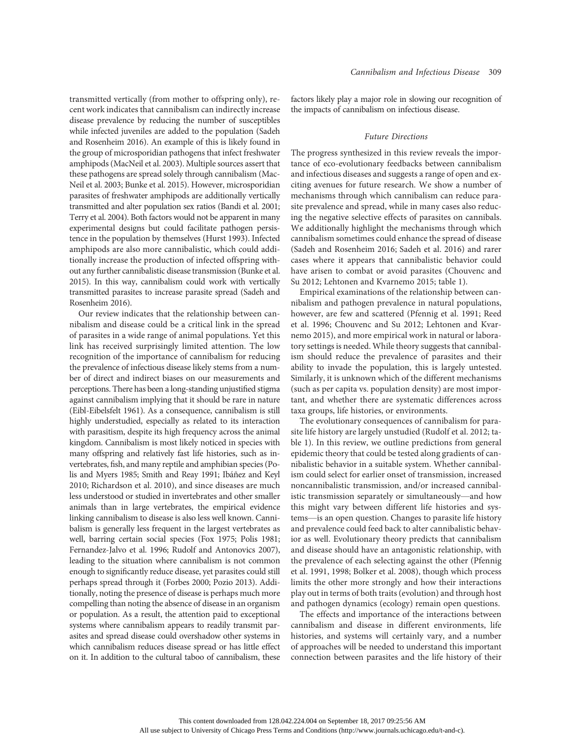transmitted vertically (from mother to offspring only), recent work indicates that cannibalism can indirectly increase disease prevalence by reducing the number of susceptibles while infected juveniles are added to the population (Sadeh and Rosenheim 2016). An example of this is likely found in the group of microsporidian pathogens that infect freshwater amphipods (MacNeil et al. 2003). Multiple sources assert that these pathogens are spread solely through cannibalism (Mac-Neil et al. 2003; Bunke et al. 2015). However, microsporidian parasites of freshwater amphipods are additionally vertically transmitted and alter population sex ratios (Bandi et al. 2001; Terry et al. 2004). Both factors would not be apparent in many experimental designs but could facilitate pathogen persistence in the population by themselves (Hurst 1993). Infected amphipods are also more cannibalistic, which could additionally increase the production of infected offspring without any further cannibalistic disease transmission (Bunke et al. 2015). In this way, cannibalism could work with vertically transmitted parasites to increase parasite spread (Sadeh and Rosenheim 2016).

Our review indicates that the relationship between cannibalism and disease could be a critical link in the spread of parasites in a wide range of animal populations. Yet this link has received surprisingly limited attention. The low recognition of the importance of cannibalism for reducing the prevalence of infectious disease likely stems from a number of direct and indirect biases on our measurements and perceptions. There has been a long-standing unjustified stigma against cannibalism implying that it should be rare in nature (Eibl-Eibelsfelt 1961). As a consequence, cannibalism is still highly understudied, especially as related to its interaction with parasitism, despite its high frequency across the animal kingdom. Cannibalism is most likely noticed in species with many offspring and relatively fast life histories, such as invertebrates, fish, and many reptile and amphibian species (Polis and Myers 1985; Smith and Reay 1991; Ibáñez and Keyl 2010; Richardson et al. 2010), and since diseases are much less understood or studied in invertebrates and other smaller animals than in large vertebrates, the empirical evidence linking cannibalism to disease is also less well known. Cannibalism is generally less frequent in the largest vertebrates as well, barring certain social species (Fox 1975; Polis 1981; Fernandez-Jalvo et al. 1996; Rudolf and Antonovics 2007), leading to the situation where cannibalism is not common enough to significantly reduce disease, yet parasites could still perhaps spread through it (Forbes 2000; Pozio 2013). Additionally, noting the presence of disease is perhaps much more compelling than noting the absence of disease in an organism or population. As a result, the attention paid to exceptional systems where cannibalism appears to readily transmit parasites and spread disease could overshadow other systems in which cannibalism reduces disease spread or has little effect on it. In addition to the cultural taboo of cannibalism, these factors likely play a major role in slowing our recognition of the impacts of cannibalism on infectious disease.

#### Future Directions

The progress synthesized in this review reveals the importance of eco-evolutionary feedbacks between cannibalism and infectious diseases and suggests a range of open and exciting avenues for future research. We show a number of mechanisms through which cannibalism can reduce parasite prevalence and spread, while in many cases also reducing the negative selective effects of parasites on cannibals. We additionally highlight the mechanisms through which cannibalism sometimes could enhance the spread of disease (Sadeh and Rosenheim 2016; Sadeh et al. 2016) and rarer cases where it appears that cannibalistic behavior could have arisen to combat or avoid parasites (Chouvenc and Su 2012; Lehtonen and Kvarnemo 2015; table 1).

Empirical examinations of the relationship between cannibalism and pathogen prevalence in natural populations, however, are few and scattered (Pfennig et al. 1991; Reed et al. 1996; Chouvenc and Su 2012; Lehtonen and Kvarnemo 2015), and more empirical work in natural or laboratory settings is needed. While theory suggests that cannibalism should reduce the prevalence of parasites and their ability to invade the population, this is largely untested. Similarly, it is unknown which of the different mechanisms (such as per capita vs. population density) are most important, and whether there are systematic differences across taxa groups, life histories, or environments.

The evolutionary consequences of cannibalism for parasite life history are largely unstudied (Rudolf et al. 2012; table 1). In this review, we outline predictions from general epidemic theory that could be tested along gradients of cannibalistic behavior in a suitable system. Whether cannibalism could select for earlier onset of transmission, increased noncannibalistic transmission, and/or increased cannibalistic transmission separately or simultaneously—and how this might vary between different life histories and systems—is an open question. Changes to parasite life history and prevalence could feed back to alter cannibalistic behavior as well. Evolutionary theory predicts that cannibalism and disease should have an antagonistic relationship, with the prevalence of each selecting against the other (Pfennig et al. 1991, 1998; Bolker et al. 2008), though which process limits the other more strongly and how their interactions play out in terms of both traits (evolution) and through host and pathogen dynamics (ecology) remain open questions.

The effects and importance of the interactions between cannibalism and disease in different environments, life histories, and systems will certainly vary, and a number of approaches will be needed to understand this important connection between parasites and the life history of their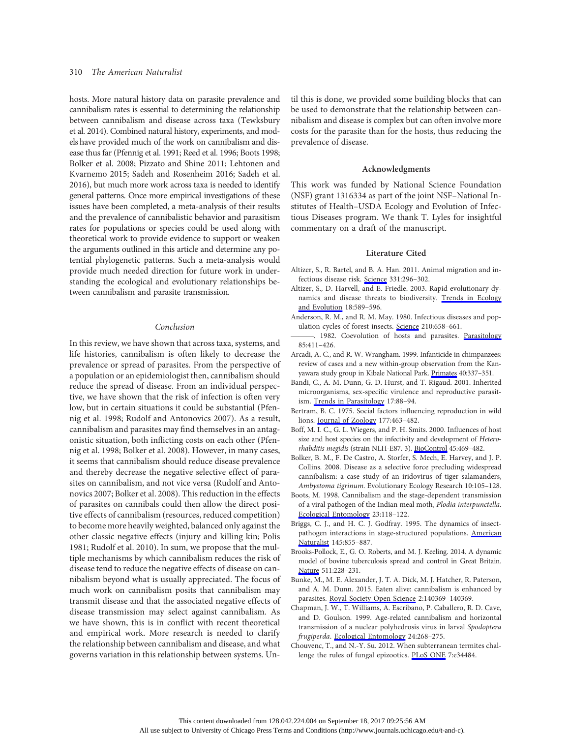hosts. More natural history data on parasite prevalence and cannibalism rates is essential to determining the relationship between cannibalism and disease across taxa (Tewksbury et al. 2014). Combined natural history, experiments, and models have provided much of the work on cannibalism and disease thus far (Pfennig et al. 1991; Reed et al. 1996; Boots 1998; Bolker et al. 2008; Pizzato and Shine 2011; Lehtonen and Kvarnemo 2015; Sadeh and Rosenheim 2016; Sadeh et al. 2016), but much more work across taxa is needed to identify general patterns. Once more empirical investigations of these issues have been completed, a meta-analysis of their results and the prevalence of cannibalistic behavior and parasitism rates for populations or species could be used along with theoretical work to provide evidence to support or weaken the arguments outlined in this article and determine any potential phylogenetic patterns. Such a meta-analysis would provide much needed direction for future work in understanding the ecological and evolutionary relationships between cannibalism and parasite transmission.

#### Conclusion

In this review, we have shown that across taxa, systems, and life histories, cannibalism is often likely to decrease the prevalence or spread of parasites. From the perspective of a population or an epidemiologist then, cannibalism should reduce the spread of disease. From an individual perspective, we have shown that the risk of infection is often very low, but in certain situations it could be substantial (Pfennig et al. 1998; Rudolf and Antonovics 2007). As a result, cannibalism and parasites may find themselves in an antagonistic situation, both inflicting costs on each other (Pfennig et al. 1998; Bolker et al. 2008). However, in many cases, it seems that cannibalism should reduce disease prevalence and thereby decrease the negative selective effect of parasites on cannibalism, and not vice versa (Rudolf and Antonovics 2007; Bolker et al. 2008). This reduction in the effects of parasites on cannibals could then allow the direct positive effects of cannibalism (resources, reduced competition) to become more heavily weighted, balanced only against the other classic negative effects (injury and killing kin; Polis 1981; Rudolf et al. 2010). In sum, we propose that the multiple mechanisms by which cannibalism reduces the risk of disease tend to reduce the negative effects of disease on cannibalism beyond what is usually appreciated. The focus of much work on cannibalism posits that cannibalism may transmit disease and that the associated negative effects of disease transmission may select against cannibalism. As we have shown, this is in conflict with recent theoretical and empirical work. More research is needed to clarify the relationship between cannibalism and disease, and what governs variation in this relationship between systems. Until this is done, we provided some building blocks that can be used to demonstrate that the relationship between cannibalism and disease is complex but can often involve more costs for the parasite than for the hosts, thus reducing the prevalence of disease.

#### Acknowledgments

This work was funded by National Science Foundation (NSF) grant 1316334 as part of the joint NSF–National Institutes of Health–USDA Ecology and Evolution of Infectious Diseases program. We thank T. Lyles for insightful commentary on a draft of the manuscript.

### Literature Cited

- Altizer, S., R. Bartel, and B. A. Han. 2011. Animal migration and infectious disease risk. [Science](http://www.journals.uchicago.edu/action/showLinks?doi=10.1086%2F692734&pmid=21252339&crossref=10.1126%2Fscience.1194694&citationId=p_1) 331:296–302.
- Altizer, S., D. Harvell, and E. Friedle. 2003. Rapid evolutionary dynamics and disease threats to biodiversity. [Trends in Ecology](http://www.journals.uchicago.edu/action/showLinks?doi=10.1086%2F692734&crossref=10.1016%2Fj.tree.2003.08.013&citationId=p_2) [and Evolution](http://www.journals.uchicago.edu/action/showLinks?doi=10.1086%2F692734&crossref=10.1016%2Fj.tree.2003.08.013&citationId=p_2) 18:589–596.
- Anderson, R. M., and R. M. May. 1980. Infectious diseases and population cycles of forest insects. [Science](http://www.journals.uchicago.edu/action/showLinks?doi=10.1086%2F692734&pmid=17815156&crossref=10.1126%2Fscience.210.4470.658&citationId=p_3) 210:658–661.
- -. 1982. Coevolution of hosts and parasites. [Parasitology](http://www.journals.uchicago.edu/action/showLinks?doi=10.1086%2F692734&pmid=6755367&crossref=10.1017%2FS0031182000055360&citationId=p_4) 85:411–426.
- Arcadi, A. C., and R. W. Wrangham. 1999. Infanticide in chimpanzees: review of cases and a new within-group observation from the Kanyawara study group in Kibale National Park. [Primates](http://www.journals.uchicago.edu/action/showLinks?doi=10.1086%2F692734&crossref=10.1007%2FBF02557557&citationId=p_5) 40:337–351.
- Bandi, C., A. M. Dunn, G. D. Hurst, and T. Rigaud. 2001. Inherited microorganisms, sex-specific virulence and reproductive parasitism. [Trends in Parasitology](http://www.journals.uchicago.edu/action/showLinks?doi=10.1086%2F692734&pmid=11228015&crossref=10.1016%2FS1471-4922%2800%2901812-2&citationId=p_6) 17:88–94.
- Bertram, B. C. 1975. Social factors influencing reproduction in wild lions. [Journal of Zoology](http://www.journals.uchicago.edu/action/showLinks?doi=10.1086%2F692734&crossref=10.1111%2Fj.1469-7998.1975.tb02246.x&citationId=p_7) 177:463–482.
- Boff, M. I. C., G. L. Wiegers, and P. H. Smits. 2000. Influences of host size and host species on the infectivity and development of Heterorhabditis megidis (strain NLH-E87. 3). [BioControl](http://www.journals.uchicago.edu/action/showLinks?doi=10.1086%2F692734&crossref=10.1023%2FA%3A1026560208285&citationId=p_8) 45:469–482.
- Bolker, B. M., F. De Castro, A. Storfer, S. Mech, E. Harvey, and J. P. Collins. 2008. Disease as a selective force precluding widespread cannibalism: a case study of an iridovirus of tiger salamanders, Ambystoma tigrinum. Evolutionary Ecology Research 10:105–128.
- Boots, M. 1998. Cannibalism and the stage-dependent transmission of a viral pathogen of the Indian meal moth, Plodia interpunctella. [Ecological Entomology](http://www.journals.uchicago.edu/action/showLinks?doi=10.1086%2F692734&crossref=10.1046%2Fj.1365-2311.1998.00115.x&citationId=p_10) 23:118–122.
- Briggs, C. J., and H. C. J. Godfray. 1995. The dynamics of insectpathogen interactions in stage-structured populations. [American](http://www.journals.uchicago.edu/action/showLinks?doi=10.1086%2F692734&system=10.1086%2F285774&citationId=p_11) [Naturalist](http://www.journals.uchicago.edu/action/showLinks?doi=10.1086%2F692734&system=10.1086%2F285774&citationId=p_11) 145:855–887.
- Brooks-Pollock, E., G. O. Roberts, and M. J. Keeling. 2014. A dynamic model of bovine tuberculosis spread and control in Great Britain. [Nature](http://www.journals.uchicago.edu/action/showLinks?doi=10.1086%2F692734&pmid=25008532&crossref=10.1038%2Fnature13529&citationId=p_12) 511:228–231.
- Bunke, M., M. E. Alexander, J. T. A. Dick, M. J. Hatcher, R. Paterson, and A. M. Dunn. 2015. Eaten alive: cannibalism is enhanced by parasites. [Royal Society Open Science](http://www.journals.uchicago.edu/action/showLinks?doi=10.1086%2F692734&pmid=26064614&crossref=10.1098%2Frsos.140369&citationId=p_13) 2:140369–140369.
- Chapman, J. W., T. Williams, A. Escribano, P. Caballero, R. D. Cave, and D. Goulson. 1999. Age-related cannibalism and horizontal transmission of a nuclear polyhedrosis virus in larval Spodoptera frugiperda. [Ecological Entomology](http://www.journals.uchicago.edu/action/showLinks?doi=10.1086%2F692734&crossref=10.1046%2Fj.1365-2311.1999.00224.x&citationId=p_14) 24:268–275.
- Chouvenc, T., and N.-Y. Su. 2012. When subterranean termites challenge the rules of fungal epizootics. [PLoS ONE](http://www.journals.uchicago.edu/action/showLinks?doi=10.1086%2F692734&pmid=22470575&crossref=10.1371%2Fjournal.pone.0034484&citationId=p_15) 7:e34484.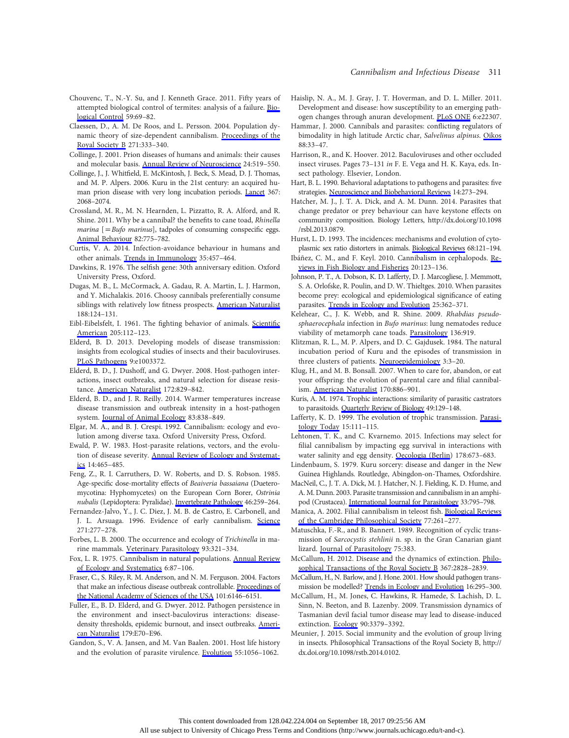#### Cannibalism and Infectious Disease 311

- Chouvenc, T., N.-Y. Su, and J. Kenneth Grace. 2011. Fifty years of attempted biological control of termites: analysis of a failure. [Bio](http://www.journals.uchicago.edu/action/showLinks?doi=10.1086%2F692734&crossref=10.1016%2Fj.biocontrol.2011.06.015&citationId=p_16)[logical Control](http://www.journals.uchicago.edu/action/showLinks?doi=10.1086%2F692734&crossref=10.1016%2Fj.biocontrol.2011.06.015&citationId=p_16) 59:69-82.
- Claessen, D., A. M. De Roos, and L. Persson. 2004. Population dynamic theory of size-dependent cannibalism. [Proceedings of the](http://www.journals.uchicago.edu/action/showLinks?doi=10.1086%2F692734&pmid=15101690&crossref=10.1098%2Frspb.2003.2555&citationId=p_17) [Royal Society B](http://www.journals.uchicago.edu/action/showLinks?doi=10.1086%2F692734&pmid=15101690&crossref=10.1098%2Frspb.2003.2555&citationId=p_17) 271:333–340.
- Collinge, J. 2001. Prion diseases of humans and animals: their causes and molecular basis. [Annual Review of Neuroscience](http://www.journals.uchicago.edu/action/showLinks?doi=10.1086%2F692734&pmid=11283320&crossref=10.1146%2Fannurev.neuro.24.1.519&citationId=p_18) 24:519–550.
- Collinge, J., J. Whitfield, E. McKintosh, J. Beck, S. Mead, D. J. Thomas, and M. P. Alpers. 2006. Kuru in the 21st century: an acquired human prion disease with very long incubation periods. [Lancet](http://www.journals.uchicago.edu/action/showLinks?doi=10.1086%2F692734&pmid=16798390&crossref=10.1016%2FS0140-6736%2806%2968930-7&citationId=p_19) 367: 2068–2074.
- Crossland, M. R., M. N. Hearnden, L. Pizzatto, R. A. Alford, and R. Shine. 2011. Why be a cannibal? the benefits to cane toad, Rhinella marina  $[=Bufo$  marinus], tadpoles of consuming conspecific eggs. [Animal Behaviour](http://www.journals.uchicago.edu/action/showLinks?doi=10.1086%2F692734&crossref=10.1016%2Fj.anbehav.2011.07.009&citationId=p_20) 82:775–782.
- Curtis, V. A. 2014. Infection-avoidance behaviour in humans and other animals. [Trends in Immunology](http://www.journals.uchicago.edu/action/showLinks?doi=10.1086%2F692734&pmid=25256957&crossref=10.1016%2Fj.it.2014.08.006&citationId=p_21) 35:457–464.
- Dawkins, R. 1976. The selfish gene: 30th anniversary edition. Oxford University Press, Oxford.
- Dugas, M. B., L. McCormack, A. Gadau, R. A. Martin, L. J. Harmon, and Y. Michalakis. 2016. Choosy cannibals preferentially consume siblings with relatively low fitness prospects. [American Naturalist](http://www.journals.uchicago.edu/action/showLinks?doi=10.1086%2F692734&system=10.1086%2F686729&citationId=p_23) 188:124–131.
- Eibl-Eibelsfelt, I. 1961. The fighting behavior of animals. [Scienti](http://www.journals.uchicago.edu/action/showLinks?doi=10.1086%2F692734&crossref=10.1038%2Fscientificamerican1261-112&citationId=p_24)fic [American](http://www.journals.uchicago.edu/action/showLinks?doi=10.1086%2F692734&crossref=10.1038%2Fscientificamerican1261-112&citationId=p_24) 205:112–123.
- Elderd, B. D. 2013. Developing models of disease transmission: insights from ecological studies of insects and their baculoviruses. [PLoS Pathogens](http://www.journals.uchicago.edu/action/showLinks?doi=10.1086%2F692734&pmid=23785277&crossref=10.1371%2Fjournal.ppat.1003372&citationId=p_25) 9:e1003372.
- Elderd, B. D., J. Dushoff, and G. Dwyer. 2008. Host-pathogen interactions, insect outbreaks, and natural selection for disease resistance. [American Naturalist](http://www.journals.uchicago.edu/action/showLinks?doi=10.1086%2F692734&system=10.1086%2F592403&citationId=p_26) 172:829–842.
- Elderd, B. D., and J. R. Reilly. 2014. Warmer temperatures increase disease transmission and outbreak intensity in a host-pathogen system. [Journal of Animal Ecology](http://www.journals.uchicago.edu/action/showLinks?doi=10.1086%2F692734&pmid=24219180&crossref=10.1111%2F1365-2656.12180&citationId=p_27) 83:838–849.
- Elgar, M. A., and B. J. Crespi. 1992. Cannibalism: ecology and evolution among diverse taxa. Oxford University Press, Oxford.
- Ewald, P. W. 1983. Host-parasite relations, vectors, and the evolution of disease severity. [Annual Review of Ecology and Systemat](http://www.journals.uchicago.edu/action/showLinks?doi=10.1086%2F692734&crossref=10.1146%2Fannurev.es.14.110183.002341&citationId=p_29)[ics](http://www.journals.uchicago.edu/action/showLinks?doi=10.1086%2F692734&crossref=10.1146%2Fannurev.es.14.110183.002341&citationId=p_29) 14:465–485.
- Feng, Z., R. I. Carruthers, D. W. Roberts, and D. S. Robson. 1985. Age-specific dose-mortality effects of Beaiveria bassaiana (Dueteromycotina: Hyphomycetes) on the European Corn Borer, Ostrinia nubalis (Lepidoptera: Pyralidae). [Invertebrate Pathology](http://www.journals.uchicago.edu/action/showLinks?doi=10.1086%2F692734&crossref=10.1016%2F0022-2011%2885%2990067-9&citationId=p_30) 46:259–264.
- Fernandez-Jalvo, Y., J. C. Diez, J. M. B. de Castro, E. Carbonell, and J. L. Arsuaga. 1996. Evidence of early cannibalism. [Science](http://www.journals.uchicago.edu/action/showLinks?doi=10.1086%2F692734&pmid=8553055&crossref=10.1126%2Fscience.271.5247.277&citationId=p_31) 271:277–278.
- Forbes, L. B. 2000. The occurrence and ecology of Trichinella in marine mammals. [Veterinary Parasitology](http://www.journals.uchicago.edu/action/showLinks?doi=10.1086%2F692734&pmid=11099845&crossref=10.1016%2FS0304-4017%2800%2900349-6&citationId=p_32) 93:321–334.
- Fox, L. R. 1975. Cannibalism in natural populations. [Annual Review](http://www.journals.uchicago.edu/action/showLinks?doi=10.1086%2F692734&crossref=10.1146%2Fannurev.es.06.110175.000511&citationId=p_33) [of Ecology and Systematics](http://www.journals.uchicago.edu/action/showLinks?doi=10.1086%2F692734&crossref=10.1146%2Fannurev.es.06.110175.000511&citationId=p_33) 6:87–106.
- Fraser, C., S. Riley, R. M. Anderson, and N. M. Ferguson. 2004. Factors that make an infectious disease outbreak controllable. [Proceedings of](http://www.journals.uchicago.edu/action/showLinks?doi=10.1086%2F692734&pmid=15071187&crossref=10.1073%2Fpnas.0307506101&citationId=p_34) [the National Academy of Sciences of the USA](http://www.journals.uchicago.edu/action/showLinks?doi=10.1086%2F692734&pmid=15071187&crossref=10.1073%2Fpnas.0307506101&citationId=p_34) 101:6146–6151.
- Fuller, E., B. D. Elderd, and G. Dwyer. 2012. Pathogen persistence in the environment and insect-baculovirus interactions: diseasedensity thresholds, epidemic burnout, and insect outbreaks. [Ameri](http://www.journals.uchicago.edu/action/showLinks?doi=10.1086%2F692734&system=10.1086%2F664488&citationId=p_35)[can Naturalist](http://www.journals.uchicago.edu/action/showLinks?doi=10.1086%2F692734&system=10.1086%2F664488&citationId=p_35) 179:E70–E96.
- Gandon, S., V. A. Jansen, and M. Van Baalen. 2001. Host life history and the evolution of parasite virulence. [Evolution](http://www.journals.uchicago.edu/action/showLinks?doi=10.1086%2F692734&pmid=11430642&crossref=10.1554%2F0014-3820%282001%29055%5B1056%3AHLHATE%5D2.0.CO%3B2&citationId=p_36) 55:1056–1062.
- Haislip, N. A., M. J. Gray, J. T. Hoverman, and D. L. Miller. 2011. Development and disease: how susceptibility to an emerging pathogen changes through anuran development. [PLoS ONE](http://www.journals.uchicago.edu/action/showLinks?doi=10.1086%2F692734&pmid=21799820&crossref=10.1371%2Fjournal.pone.0022307&citationId=p_37) 6:e22307.
- Hammar, J. 2000. Cannibals and parasites: conflicting regulators of bimodality in high latitude Arctic char, Salvelinus alpinus. [Oikos](http://www.journals.uchicago.edu/action/showLinks?doi=10.1086%2F692734&crossref=10.1034%2Fj.1600-0706.2000.880105.x&citationId=p_38) 88:33–47.
- Harrison, R., and K. Hoover. 2012. Baculoviruses and other occluded insect viruses. Pages 73–131 in F. E. Vega and H. K. Kaya, eds. Insect pathology. Elsevier, London.
- Hart, B. L. 1990. Behavioral adaptations to pathogens and parasites: five strategies. [Neuroscience and Biobehavioral Reviews](http://www.journals.uchicago.edu/action/showLinks?doi=10.1086%2F692734&pmid=2234607&crossref=10.1016%2FS0149-7634%2805%2980038-7&citationId=p_40) 14:273–294.
- Hatcher, M. J., J. T. A. Dick, and A. M. Dunn. 2014. Parasites that change predator or prey behaviour can have keystone effects on community composition. Biology Letters, http://dx.doi.org/10.1098 /rsbl.2013.0879.
- Hurst, L. D. 1993. The incidences: mechanisms and evolution of cytoplasmic sex ratio distorters in animals. [Biological Reviews](http://www.journals.uchicago.edu/action/showLinks?doi=10.1086%2F692734&crossref=10.1111%2Fj.1469-185X.1993.tb00733.x&citationId=p_42) 68:121–194.
- Ibáñez, C. M., and F. Keyl. 2010. Cannibalism in cephalopods. [Re](http://www.journals.uchicago.edu/action/showLinks?doi=10.1086%2F692734&crossref=10.1007%2Fs11160-009-9129-y&citationId=p_43)[views in Fish Biology and Fisheries](http://www.journals.uchicago.edu/action/showLinks?doi=10.1086%2F692734&crossref=10.1007%2Fs11160-009-9129-y&citationId=p_43) 20:123–136.
- Johnson, P. T., A. Dobson, K. D. Lafferty, D. J. Marcogliese, J. Memmott, S. A. Orlofske, R. Poulin, and D. W. Thieltges. 2010. When parasites become prey: ecological and epidemiological significance of eating parasites. [Trends in Ecology and Evolution](http://www.journals.uchicago.edu/action/showLinks?doi=10.1086%2F692734&pmid=20185202&crossref=10.1016%2Fj.tree.2010.01.005&citationId=p_44) 25:362–371.
- Kelehear, C., J. K. Webb, and R. Shine. 2009. Rhabdias pseudosphaerocephala infection in Bufo marinus: lung nematodes reduce viability of metamorph cane toads. [Parasitology](http://www.journals.uchicago.edu/action/showLinks?doi=10.1086%2F692734&pmid=19523249&crossref=10.1017%2FS0031182009006325&citationId=p_45) 136:919.
- Klitzman, R. L., M. P. Alpers, and D. C. Gajdusek. 1984. The natural incubation period of Kuru and the episodes of transmission in three clusters of patients. [Neuroepidemiology](http://www.journals.uchicago.edu/action/showLinks?doi=10.1086%2F692734&crossref=10.1159%2F000110837&citationId=p_46) 3:3–20.
- Klug, H., and M. B. Bonsall. 2007. When to care for, abandon, or eat your offspring: the evolution of parental care and filial cannibalism. [American Naturalist](http://www.journals.uchicago.edu/action/showLinks?doi=10.1086%2F692734&system=10.1086%2F522936&citationId=p_47) 170:886–901.
- Kuris, A. M. 1974. Trophic interactions: similarity of parasitic castrators to parasitoids. [Quarterly Review of Biology](http://www.journals.uchicago.edu/action/showLinks?doi=10.1086%2F692734&system=10.1086%2F408018&citationId=p_48) 49:129–148.
- Lafferty, K. D. 1999. The evolution of trophic transmission. [Parasi](http://www.journals.uchicago.edu/action/showLinks?doi=10.1086%2F692734&pmid=10322324&crossref=10.1016%2FS0169-4758%2899%2901397-6&citationId=p_49)[tology Today](http://www.journals.uchicago.edu/action/showLinks?doi=10.1086%2F692734&pmid=10322324&crossref=10.1016%2FS0169-4758%2899%2901397-6&citationId=p_49) 15:111–115.
- Lehtonen, T. K., and C. Kvarnemo. 2015. Infections may select for filial cannibalism by impacting egg survival in interactions with water salinity and egg density. [Oecologia \(Berlin](http://www.journals.uchicago.edu/action/showLinks?doi=10.1086%2F692734&pmid=25676104&crossref=10.1007%2Fs00442-015-3246-1&citationId=p_50)) 178:673–683.
- Lindenbaum, S. 1979. Kuru sorcery: disease and danger in the New Guinea Highlands. Routledge, Abingdon-on-Thames, Oxfordshire.
- MacNeil, C., J. T. A. Dick, M. J. Hatcher, N. J. Fielding, K. D. Hume, and A. M. Dunn. 2003. Parasite transmission and cannibalism in an amphipod (Crustacea). [International Journal for Parasitology](http://www.journals.uchicago.edu/action/showLinks?doi=10.1086%2F692734&pmid=12865079&crossref=10.1016%2FS0020-7519%2803%2900110-3&citationId=p_52) 33:795–798.
- Manica, A. 2002. Filial cannibalism in teleost fish. [Biological Reviews](http://www.journals.uchicago.edu/action/showLinks?doi=10.1086%2F692734&pmid=12056749&crossref=10.1017%2FS1464793101005905&citationId=p_53) [of the Cambridge Philosophical Society](http://www.journals.uchicago.edu/action/showLinks?doi=10.1086%2F692734&pmid=12056749&crossref=10.1017%2FS1464793101005905&citationId=p_53) 77:261–277.
- Matuschka, F.-R., and B. Bannert. 1989. Recognition of cyclic transmission of Sarcocystis stehlinii n. sp. in the Gran Canarian giant lizard. [Journal of Parasitology](http://www.journals.uchicago.edu/action/showLinks?doi=10.1086%2F692734&pmid=2498493&crossref=10.2307%2F3282593&citationId=p_54) 75:383.
- McCallum, H. 2012. Disease and the dynamics of extinction. [Philo](http://www.journals.uchicago.edu/action/showLinks?doi=10.1086%2F692734&pmid=22966138&crossref=10.1098%2Frstb.2012.0224&citationId=p_55)[sophical Transactions of the Royal Society B](http://www.journals.uchicago.edu/action/showLinks?doi=10.1086%2F692734&pmid=22966138&crossref=10.1098%2Frstb.2012.0224&citationId=p_55) 367:2828–2839.
- McCallum, H., N. Barlow, and J. Hone. 2001. How should pathogen transmission be modelled? [Trends in Ecology and Evolution](http://www.journals.uchicago.edu/action/showLinks?doi=10.1086%2F692734&pmid=11369107&crossref=10.1016%2FS0169-5347%2801%2902144-9&citationId=p_56) 16:295–300.
- McCallum, H., M. Jones, C. Hawkins, R. Hamede, S. Lachish, D. L. Sinn, N. Beeton, and B. Lazenby. 2009. Transmission dynamics of Tasmanian devil facial tumor disease may lead to disease-induced extinction. [Ecology](http://www.journals.uchicago.edu/action/showLinks?doi=10.1086%2F692734&pmid=20120807&crossref=10.1890%2F08-1763.1&citationId=p_57) 90:3379–3392.
- Meunier, J. 2015. Social immunity and the evolution of group living in insects. Philosophical Transactions of the Royal Society B, http:// dx.doi.org/10.1098/rstb.2014.0102.